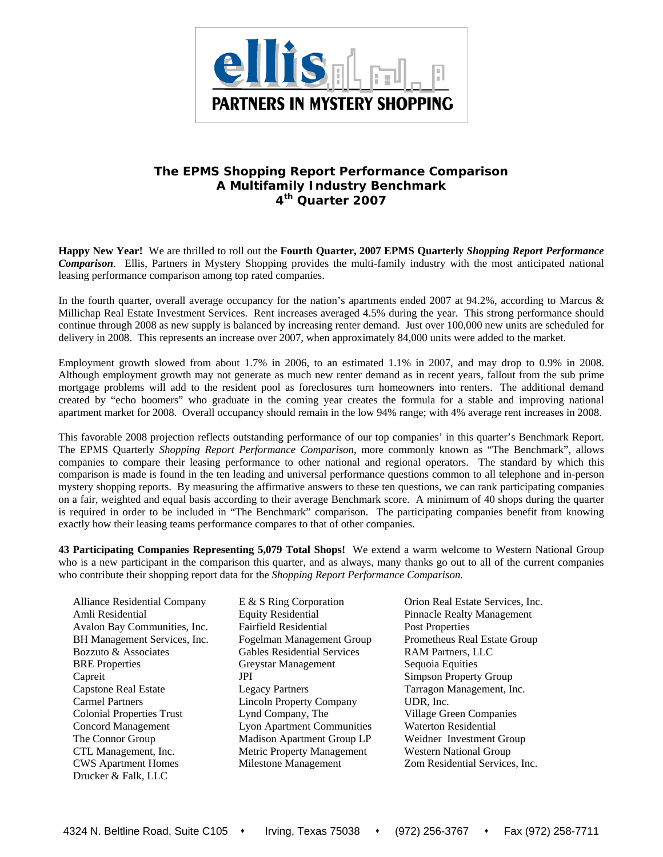

## **The EPMS** *Shopping Report Performance Comparison*  **A Multifamily Industry Benchmark 4th Quarter 2007**

**Happy New Year!** We are thrilled to roll out the **Fourth Quarter, 2007 EPMS Quarterly** *Shopping Report Performance Comparison*. Ellis, Partners in Mystery Shopping provides the multi-family industry with the most anticipated national leasing performance comparison among top rated companies.

In the fourth quarter, overall average occupancy for the nation's apartments ended 2007 at 94.2%, according to Marcus & Millichap Real Estate Investment Services. Rent increases averaged 4.5% during the year. This strong performance should continue through 2008 as new supply is balanced by increasing renter demand. Just over 100,000 new units are scheduled for delivery in 2008. This represents an increase over 2007, when approximately 84,000 units were added to the market.

Employment growth slowed from about 1.7% in 2006, to an estimated 1.1% in 2007, and may drop to 0.9% in 2008. Although employment growth may not generate as much new renter demand as in recent years, fallout from the sub prime mortgage problems will add to the resident pool as foreclosures turn homeowners into renters. The additional demand created by "echo boomers" who graduate in the coming year creates the formula for a stable and improving national apartment market for 2008. Overall occupancy should remain in the low 94% range; with 4% average rent increases in 2008.

This favorable 2008 projection reflects outstanding performance of our top companies' in this quarter's Benchmark Report. The EPMS Quarterly *Shopping Report Performance Comparison*, more commonly known as "The Benchmark", allows companies to compare their leasing performance to other national and regional operators. The standard by which this comparison is made is found in the ten leading and universal performance questions common to all telephone and in-person mystery shopping reports. By measuring the affirmative answers to these ten questions, we can rank participating companies on a fair, weighted and equal basis according to their average Benchmark score. A minimum of 40 shops during the quarter is required in order to be included in "The Benchmark" comparison. The participating companies benefit from knowing exactly how their leasing teams performance compares to that of other companies.

**43 Participating Companies Representing 5,079 Total Shops!** We extend a warm welcome to Western National Group who is a new participant in the comparison this quarter, and as always, many thanks go out to all of the current companies who contribute their shopping report data for the *Shopping Report Performance Comparison.* 

Alliance Residential Company E & S Ring Corporation Orion Real Estate Services, Inc. Amli Residential Equity Residential Pinnacle Realty Management Avalon Bay Communities, Inc. Fairfield Residential Post Properties BH Management Services, Inc. Fogelman Management Group Prometheus Real Estate Group Bozzuto & Associates Gables Residential Services RAM Partners, LLC BRE Properties **Greystar Management** Sequoia Equities Capreit **Simpson Property Group** Capstone Real Estate Legacy Partners Tarragon Management, Inc. Carmel Partners Lincoln Property Company UDR, Inc. Colonial Properties Trust Lynd Company, The Village Green Companies Concord Management Lyon Apartment Communities Waterton Residential The Connor Group **Madison Apartment Group LP** Weidner Investment Group CTL Management, Inc. Metric Property Management Western National Group CWS Apartment Homes Milestone Management Zom Residential Services, Inc. Drucker & Falk, LLC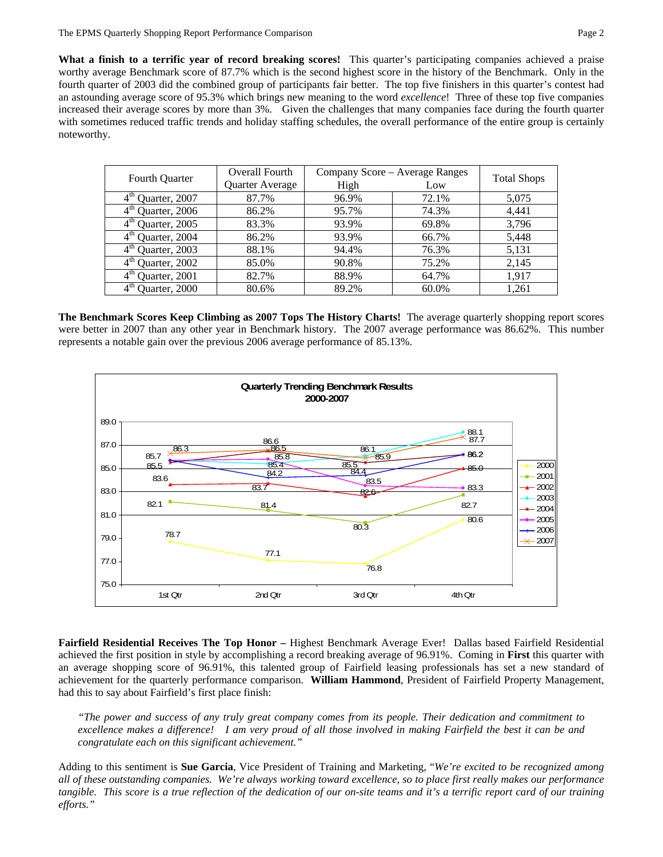**What a finish to a terrific year of record breaking scores!** This quarter's participating companies achieved a praise worthy average Benchmark score of 87.7% which is the second highest score in the history of the Benchmark. Only in the fourth quarter of 2003 did the combined group of participants fair better. The top five finishers in this quarter's contest had an astounding average score of 95.3% which brings new meaning to the word *excellence*! Three of these top five companies increased their average scores by more than 3%. Given the challenges that many companies face during the fourth quarter with sometimes reduced traffic trends and holiday staffing schedules, the overall performance of the entire group is certainly noteworthy.

| Fourth Quarter                   | Overall Fourth  | Company Score - Average Ranges | <b>Total Shops</b> |       |  |
|----------------------------------|-----------------|--------------------------------|--------------------|-------|--|
|                                  | Quarter Average | High                           | Low                |       |  |
| $4th$ Quarter, 2007              | 87.7%           | 96.9%                          | 72.1%              | 5,075 |  |
| $4th$ Quarter, 2006              | 86.2%           | 95.7%                          | 74.3%              | 4,441 |  |
| $4th$ Quarter, 2005              | 83.3%           | 93.9%                          | 69.8%              | 3,796 |  |
| $4th$ Quarter, 2004              | 86.2%           | 93.9%                          | 66.7%              | 5,448 |  |
| $4th$ Quarter, 2003              | 88.1%           | 94.4%                          | 76.3%              | 5,131 |  |
| $4th$ Quarter, 2002              | 85.0%           | 90.8%                          | 75.2%              | 2,145 |  |
| $4^{\text{th}}$<br>Quarter, 2001 | 82.7%           | 88.9%                          | 64.7%              | 1.917 |  |
| $4^{\text{th}}$<br>Quarter, 2000 | 80.6%           | 89.2%                          | 60.0%              | 1,261 |  |

**The Benchmark Scores Keep Climbing as 2007 Tops The History Charts!** The average quarterly shopping report scores were better in 2007 than any other year in Benchmark history. The 2007 average performance was 86.62%. This number represents a notable gain over the previous 2006 average performance of 85.13%.



**Fairfield Residential Receives The Top Honor –** Highest Benchmark Average Ever! Dallas based Fairfield Residential achieved the first position in style by accomplishing a record breaking average of 96.91%. Coming in **First** this quarter with an average shopping score of 96.91%, this talented group of Fairfield leasing professionals has set a new standard of achievement for the quarterly performance comparison. **William Hammond**, President of Fairfield Property Management, had this to say about Fairfield's first place finish:

*"The power and success of any truly great company comes from its people. Their dedication and commitment to excellence makes a difference! I am very proud of all those involved in making Fairfield the best it can be and congratulate each on this significant achievement."* 

Adding to this sentiment is **Sue Garcia**, Vice President of Training and Marketing, "*We're excited to be recognized among all of these outstanding companies. We're always working toward excellence, so to place first really makes our performance tangible. This score is a true reflection of the dedication of our on-site teams and it's a terrific report card of our training efforts."*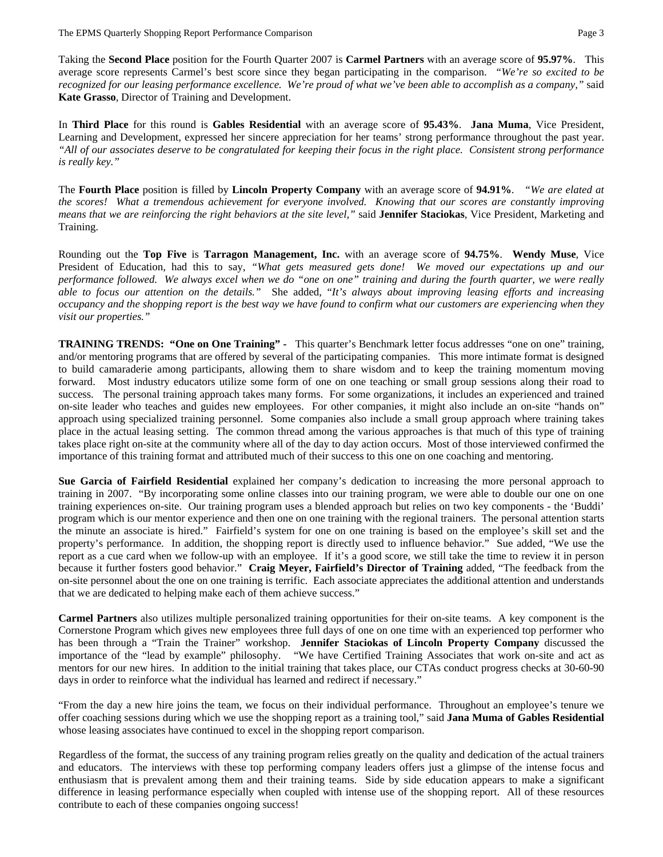Taking the **Second Place** position for the Fourth Quarter 2007 is **Carmel Partners** with an average score of **95.97%**. This average score represents Carmel's best score since they began participating in the comparison.*"We're so excited to be recognized for our leasing performance excellence. We're proud of what we've been able to accomplish as a company,"* said **Kate Grasso**, Director of Training and Development.

In **Third Place** for this round is **Gables Residential** with an average score of **95.43%**. **Jana Muma**, Vice President, Learning and Development, expressed her sincere appreciation for her teams' strong performance throughout the past year. *"All of our associates deserve to be congratulated for keeping their focus in the right place. Consistent strong performance is really key."* 

The **Fourth Place** position is filled by **Lincoln Property Company** with an average score of **94.91%**. *"We are elated at the scores! What a tremendous achievement for everyone involved. Knowing that our scores are constantly improving means that we are reinforcing the right behaviors at the site level,"* said **Jennifer Staciokas**, Vice President, Marketing and Training.

Rounding out the **Top Five** is **Tarragon Management, Inc.** with an average score of **94.75%**. **Wendy Muse**, Vice President of Education, had this to say, "What gets measured gets done! We moved our expectations up and our *performance followed. We always excel when we do "one on one" training and during the fourth quarter, we were really able to focus our attention on the details."* She added, "*It's always about improving leasing efforts and increasing occupancy and the shopping report is the best way we have found to confirm what our customers are experiencing when they visit our properties."*

**TRAINING TRENDS: "One on One Training" -** This quarter's Benchmark letter focus addresses "one on one" training, and/or mentoring programs that are offered by several of the participating companies. This more intimate format is designed to build camaraderie among participants, allowing them to share wisdom and to keep the training momentum moving forward. Most industry educators utilize some form of one on one teaching or small group sessions along their road to success. The personal training approach takes many forms. For some organizations, it includes an experienced and trained on-site leader who teaches and guides new employees. For other companies, it might also include an on-site "hands on" approach using specialized training personnel. Some companies also include a small group approach where training takes place in the actual leasing setting. The common thread among the various approaches is that much of this type of training takes place right on-site at the community where all of the day to day action occurs. Most of those interviewed confirmed the importance of this training format and attributed much of their success to this one on one coaching and mentoring.

**Sue Garcia of Fairfield Residential** explained her company's dedication to increasing the more personal approach to training in 2007. "By incorporating some online classes into our training program, we were able to double our one on one training experiences on-site. Our training program uses a blended approach but relies on two key components - the 'Buddi' program which is our mentor experience and then one on one training with the regional trainers. The personal attention starts the minute an associate is hired." Fairfield's system for one on one training is based on the employee's skill set and the property's performance. In addition, the shopping report is directly used to influence behavior." Sue added, "We use the report as a cue card when we follow-up with an employee. If it's a good score, we still take the time to review it in person because it further fosters good behavior." **Craig Meyer, Fairfield's Director of Training** added, "The feedback from the on-site personnel about the one on one training is terrific. Each associate appreciates the additional attention and understands that we are dedicated to helping make each of them achieve success."

**Carmel Partners** also utilizes multiple personalized training opportunities for their on-site teams. A key component is the Cornerstone Program which gives new employees three full days of one on one time with an experienced top performer who has been through a "Train the Trainer" workshop. **Jennifer Staciokas of Lincoln Property Company** discussed the importance of the "lead by example" philosophy. "We have Certified Training Associates that work on-site and act as mentors for our new hires. In addition to the initial training that takes place, our CTAs conduct progress checks at 30-60-90 days in order to reinforce what the individual has learned and redirect if necessary."

"From the day a new hire joins the team, we focus on their individual performance. Throughout an employee's tenure we offer coaching sessions during which we use the shopping report as a training tool," said **Jana Muma of Gables Residential** whose leasing associates have continued to excel in the shopping report comparison.

Regardless of the format, the success of any training program relies greatly on the quality and dedication of the actual trainers and educators. The interviews with these top performing company leaders offers just a glimpse of the intense focus and enthusiasm that is prevalent among them and their training teams. Side by side education appears to make a significant difference in leasing performance especially when coupled with intense use of the shopping report. All of these resources contribute to each of these companies ongoing success!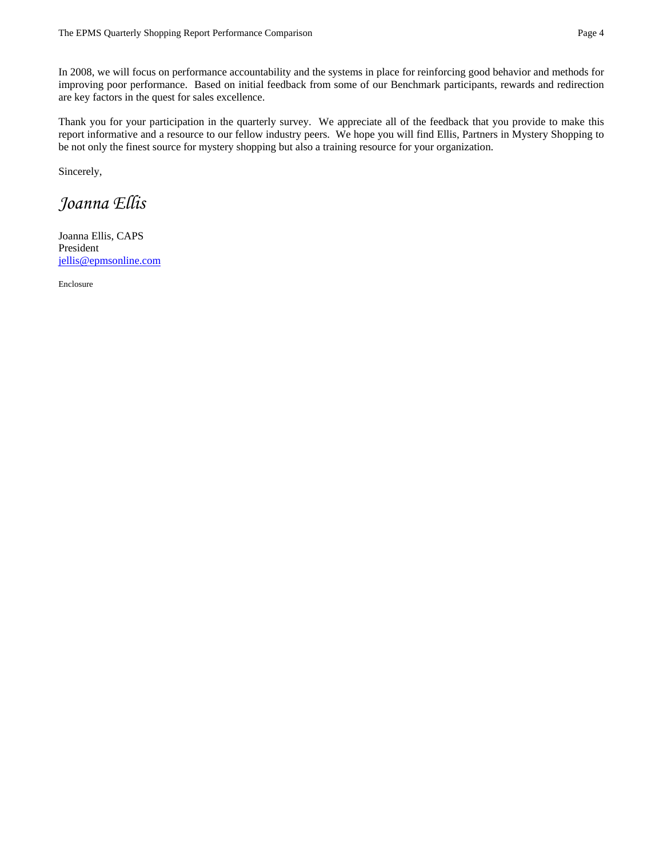In 2008, we will focus on performance accountability and the systems in place for reinforcing good behavior and methods for improving poor performance. Based on initial feedback from some of our Benchmark participants, rewards and redirection are key factors in the quest for sales excellence.

Thank you for your participation in the quarterly survey. We appreciate all of the feedback that you provide to make this report informative and a resource to our fellow industry peers. We hope you will find Ellis, Partners in Mystery Shopping to be not only the finest source for mystery shopping but also a training resource for your organization.

Sincerely,

## *Joanna Ellis*

Joanna Ellis, CAPS President jellis@epmsonline.com

Enclosure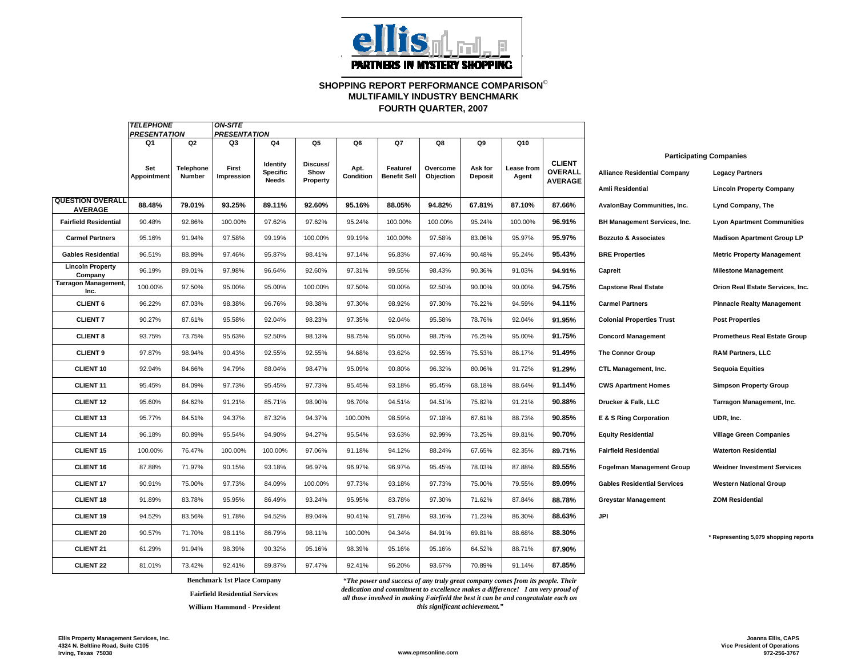

## **SHOPPING REPORT PERFORMANCE COMPARISON**© **FOURTH QUARTER, 2007 MULTIFAMILY INDUSTRY BENCHMARK**

|                                           | <b>TELEPHONE</b>          | <b>ON-SITE</b>      |                                                                      |                          |                  |                   |                                 |                       |                           |                     |                                  |                                     |                                       |
|-------------------------------------------|---------------------------|---------------------|----------------------------------------------------------------------|--------------------------|------------------|-------------------|---------------------------------|-----------------------|---------------------------|---------------------|----------------------------------|-------------------------------------|---------------------------------------|
|                                           | <b>PRESENTATION</b><br>Q1 | Q2                  | <b>PRESENTATION</b><br>Q4<br>Q5<br>Q6<br>Q7<br>Q8<br>Q9<br>Q10<br>Q3 |                          |                  |                   |                                 |                       |                           |                     |                                  |                                     |                                       |
|                                           |                           |                     |                                                                      | Identify                 | Discuss/         |                   |                                 |                       |                           |                     | <b>CLIENT</b>                    |                                     | <b>Participating Companies</b>        |
|                                           | Set<br>Appointment        | Telephone<br>Number | First<br><b>Impression</b>                                           | Specific<br><b>Needs</b> | Show<br>Property | Apt.<br>Condition | Feature/<br><b>Benefit Sell</b> | Overcome<br>Objection | Ask for<br><b>Deposit</b> | Lease from<br>Agent | <b>OVERALL</b><br><b>AVERAGE</b> | <b>Alliance Residential Company</b> | <b>Legacy Partners</b>                |
|                                           |                           |                     |                                                                      |                          |                  |                   |                                 |                       |                           |                     |                                  | Amli Residential                    | <b>Lincoln Property Company</b>       |
| <b>QUESTION OVERALL</b><br><b>AVERAGE</b> | 88.48%                    | 79.01%              | 93.25%                                                               | 89.11%                   | 92.60%           | 95.16%            | 88.05%                          | 94.82%                | 67.81%                    | 87.10%              | 87.66%                           | AvalonBay Communities, Inc.         | Lynd Company, The                     |
| <b>Fairfield Residential</b>              | 90.48%                    | 92.86%              | 100.00%                                                              | 97.62%                   | 97.62%           | 95.24%            | 100.00%                         | 100.00%               | 95.24%                    | 100.00%             | 96.91%                           | BH Management Services, Inc.        | <b>Lyon Apartment Communities</b>     |
| <b>Carmel Partners</b>                    | 95.16%                    | 91.94%              | 97.58%                                                               | 99.19%                   | 100.00%          | 99.19%            | 100.00%                         | 97.58%                | 83.06%                    | 95.97%              | 95.97%                           | <b>Bozzuto &amp; Associates</b>     | <b>Madison Apartment Group LP</b>     |
| <b>Gables Residential</b>                 | 96.51%                    | 88.89%              | 97.46%                                                               | 95.87%                   | 98.41%           | 97.14%            | 96.83%                          | 97.46%                | 90.48%                    | 95.24%              | 95.43%                           | <b>BRE Properties</b>               | <b>Metric Property Management</b>     |
| <b>Lincoln Property</b><br>Company        | 96.19%                    | 89.01%              | 97.98%                                                               | 96.64%                   | 92.60%           | 97.31%            | 99.55%                          | 98.43%                | 90.36%                    | 91.03%              | 94.91%                           | Capreit                             | <b>Milestone Management</b>           |
| Tarragon Management,<br>Inc.              | 100.00%                   | 97.50%              | 95.00%                                                               | 95.00%                   | 100.00%          | 97.50%            | 90.00%                          | 92.50%                | 90.00%                    | 90.00%              | 94.75%                           | <b>Capstone Real Estate</b>         | Orion Real Estate Services, Inc.      |
| <b>CLIENT 6</b>                           | 96.22%                    | 87.03%              | 98.38%                                                               | 96.76%                   | 98.38%           | 97.30%            | 98.92%                          | 97.30%                | 76.22%                    | 94.59%              | 94.11%                           | <b>Carmel Partners</b>              | <b>Pinnacle Realty Management</b>     |
| <b>CLIENT 7</b>                           | 90.27%                    | 87.61%              | 95.58%                                                               | 92.04%                   | 98.23%           | 97.35%            | 92.04%                          | 95.58%                | 78.76%                    | 92.04%              | 91.95%                           | <b>Colonial Properties Trust</b>    | <b>Post Properties</b>                |
| <b>CLIENT 8</b>                           | 93.75%                    | 73.75%              | 95.63%                                                               | 92.50%                   | 98.13%           | 98.75%            | 95.00%                          | 98.75%                | 76.25%                    | 95.00%              | 91.75%                           | <b>Concord Management</b>           | <b>Prometheus Real Estate Group</b>   |
| <b>CLIENT 9</b>                           | 97.87%                    | 98.94%              | 90.43%                                                               | 92.55%                   | 92.55%           | 94.68%            | 93.62%                          | 92.55%                | 75.53%                    | 86.17%              | 91.49%                           | <b>The Connor Group</b>             | <b>RAM Partners, LLC</b>              |
| <b>CLIENT 10</b>                          | 92.94%                    | 84.66%              | 94.79%                                                               | 88.04%                   | 98.47%           | 95.09%            | 90.80%                          | 96.32%                | 80.06%                    | 91.72%              | 91.29%                           | CTL Management, Inc.                | <b>Sequoia Equities</b>               |
| <b>CLIENT 11</b>                          | 95.45%                    | 84.09%              | 97.73%                                                               | 95.45%                   | 97.73%           | 95.45%            | 93.18%                          | 95.45%                | 68.18%                    | 88.64%              | 91.14%                           | <b>CWS Apartment Homes</b>          | <b>Simpson Property Group</b>         |
| <b>CLIENT 12</b>                          | 95.60%                    | 84.62%              | 91.21%                                                               | 85.71%                   | 98.90%           | 96.70%            | 94.51%                          | 94.51%                | 75.82%                    | 91.21%              | 90.88%                           | Drucker & Falk, LLC                 | Tarragon Management, Inc.             |
| <b>CLIENT 13</b>                          | 95.77%                    | 84.51%              | 94.37%                                                               | 87.32%                   | 94.37%           | 100.00%           | 98.59%                          | 97.18%                | 67.61%                    | 88.73%              | 90.85%                           | E & S Ring Corporation              | UDR, Inc.                             |
| <b>CLIENT 14</b>                          | 96.18%                    | 80.89%              | 95.54%                                                               | 94.90%                   | 94.27%           | 95.54%            | 93.63%                          | 92.99%                | 73.25%                    | 89.81%              | 90.70%                           | <b>Equity Residential</b>           | <b>Village Green Companies</b>        |
| <b>CLIENT 15</b>                          | 100.00%                   | 76.47%              | 100.00%                                                              | 100.00%                  | 97.06%           | 91.18%            | 94.12%                          | 88.24%                | 67.65%                    | 82.35%              | 89.71%                           | <b>Fairfield Residential</b>        | <b>Waterton Residential</b>           |
| <b>CLIENT 16</b>                          | 87.88%                    | 71.97%              | 90.15%                                                               | 93.18%                   | 96.97%           | 96.97%            | 96.97%                          | 95.45%                | 78.03%                    | 87.88%              | 89.55%                           | <b>Fogelman Management Group</b>    | <b>Weidner Investment Services</b>    |
| <b>CLIENT 17</b>                          | 90.91%                    | 75.00%              | 97.73%                                                               | 84.09%                   | 100.00%          | 97.73%            | 93.18%                          | 97.73%                | 75.00%                    | 79.55%              | 89.09%                           | <b>Gables Residential Services</b>  | <b>Western National Group</b>         |
| <b>CLIENT 18</b>                          | 91.89%                    | 83.78%              | 95.95%                                                               | 86.49%                   | 93.24%           | 95.95%            | 83.78%                          | 97.30%                | 71.62%                    | 87.84%              | 88.78%                           | <b>Greystar Management</b>          | <b>ZOM Residential</b>                |
| <b>CLIENT 19</b>                          | 94.52%                    | 83.56%              | 91.78%                                                               | 94.52%                   | 89.04%           | 90.41%            | 91.78%                          | 93.16%                | 71.23%                    | 86.30%              | 88.63%                           | JPI                                 |                                       |
| <b>CLIENT 20</b>                          | 90.57%                    | 71.70%              | 98.11%                                                               | 86.79%                   | 98.11%           | 100.00%           | 94.34%                          | 84.91%                | 69.81%                    | 88.68%              | 88.30%                           |                                     | * Representing 5,079 shopping reports |
| CLIENT <sub>21</sub>                      | 61.29%                    | 91.94%              | 98.39%                                                               | 90.32%                   | 95.16%           | 98.39%            | 95.16%                          | 95.16%                | 64.52%                    | 88.71%              | 87.90%                           |                                     |                                       |
| <b>CLIENT 22</b>                          | 81.01%                    | 73.42%              | 92.41%                                                               | 89.87%                   | 97.47%           | 92.41%            | 96.20%                          | 93.67%                | 70.89%                    | 91.14%              | 87.85%                           |                                     |                                       |

**Fairfield Residential Services**

**William Hammond - President**

**Benchmark 1st Place Company** *"The power and success of any truly great company comes from its people. Their dedication and commitment to excellence makes a difference! I am very proud of all those involved in making Fairfield the best it can be and congratulate each on this significant achievement."*